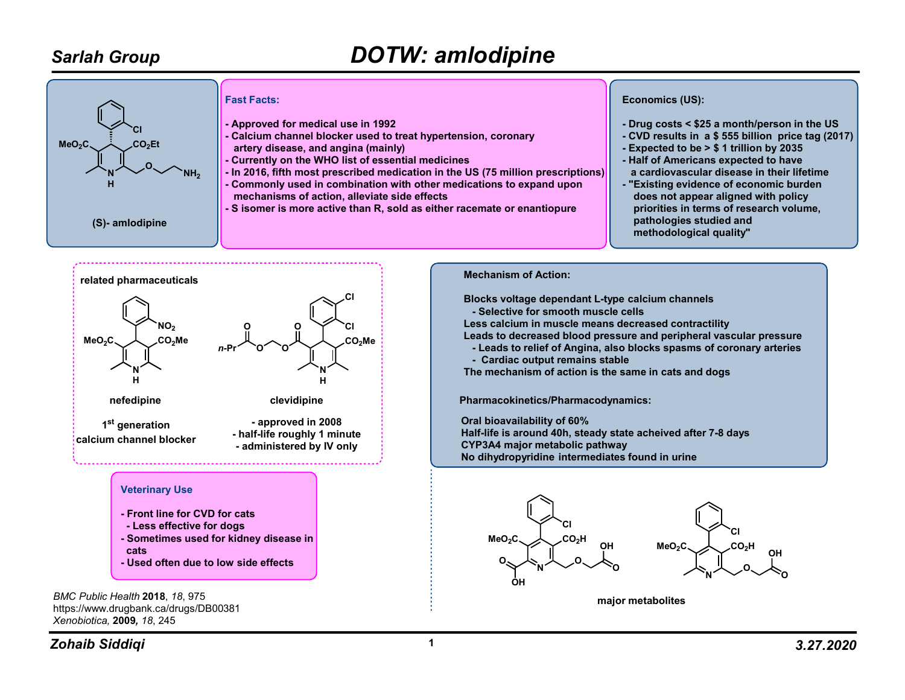## Sarlah Group

## DOTW: amlodipine